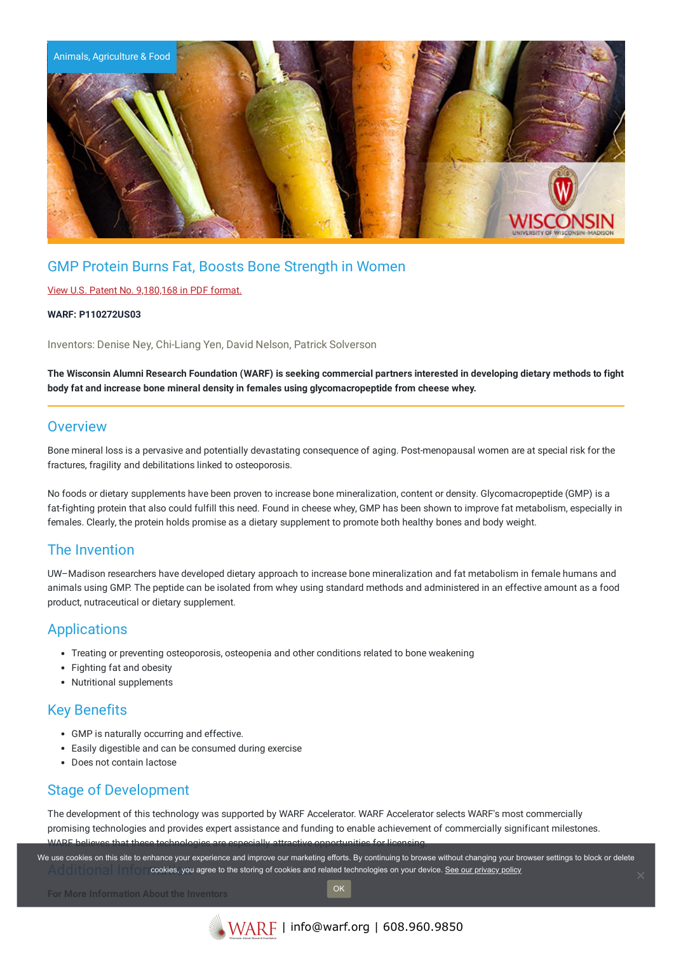

# GMP Protein Burns Fat, Boosts Bone Strength in Women

#### View U.S. Patent No. [9,180,168](https://www.warf.org/wp-content/uploads/technologies/ipstatus/P110272US03.pdf) in PDF format.

#### **WARF: P110272US03**

Inventors: Denise Ney, Chi-Liang Yen, David Nelson, Patrick Solverson

The Wisconsin Alumni Research Foundation (WARF) is seeking commercial partners interested in developing dietary methods to fight **body fat and increase bone mineral density in females using glycomacropeptide from cheese whey.**

## **Overview**

Bone mineral loss is a pervasive and potentially devastating consequence of aging. Post-menopausal women are at special risk for the fractures, fragility and debilitations linked to osteoporosis.

No foods or dietary supplements have been proven to increase bone mineralization, content or density. Glycomacropeptide (GMP) is a fat-fighting protein that also could fulfill this need. Found in cheese whey, GMP has been shown to improve fat metabolism, especially in females. Clearly, the protein holds promise as a dietary supplement to promote both healthy bones and body weight.

### The Invention

UW–Madison researchers have developed dietary approach to increase bone mineralization and fat metabolism in female humans and animals using GMP. The peptide can be isolated from whey using standard methods and administered in an effective amount as a food product, nutraceutical or dietary supplement.

### Applications

- Treating or preventing osteoporosis, osteopenia and other conditions related to bone weakening
- Fighting fat and obesity
- Nutritional supplements

# Key Benefits

- GMP is naturally occurring and effective.
- Easily digestible and can be consumed during exercise
- Does not contain lactose

### Stage of Development

The development of this technology was supported by WARF Accelerator. WARF Accelerator selects WARF's most commercially promising technologies and provides expert assistance and funding to enable achievement of commercially significant milestones. WARE believes that these technologies are especially attractive opportunities for lic

Additional Information, you agree to the storing of cookies and related technologies on your device. [See our privacy policy](https://www.warf.org/privacy-policy/) We use cookies on this site to enhance your experience and improve our marketing efforts. By continuing to browse without changing your browser settings to block or delete

OK

**For More Information About the Inventors**